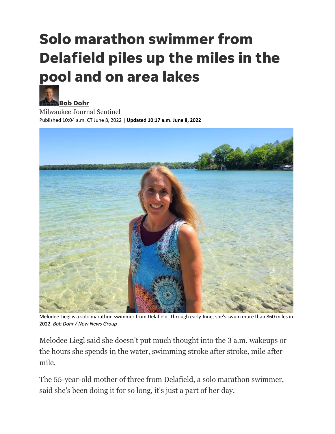# **Solo marathon swimmer from Delafield piles up the miles in the pool and on area lakes**



**[Bob Dohr](https://www.jsonline.com/staff/2646567001/bob-dohr/)** Milwaukee Journal Sentinel Published 10:04 a.m. CT June 8, 2022 | **Updated 10:17 a.m. June 8, 2022**



Melodee Liegl is a solo marathon swimmer from Delafield. Through early June, she's swum more than 860 miles in 2022. *Bob Dohr / Now News Group*

Melodee Liegl said she doesn't put much thought into the 3 a.m. wakeups or the hours she spends in the water, swimming stroke after stroke, mile after mile.

The 55-year-old mother of three from Delafield, a solo marathon swimmer, said she's been doing it for so long, it's just a part of her day.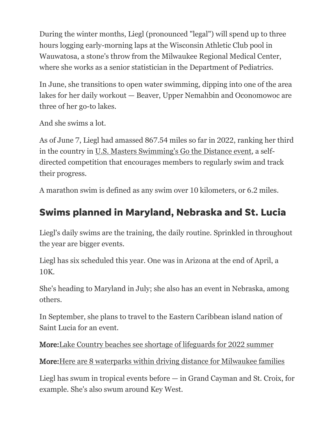During the winter months, Liegl (pronounced "legal") will spend up to three hours logging early-morning laps at the Wisconsin Athletic Club pool in Wauwatosa, a stone's throw from the Milwaukee Regional Medical Center, where she works as a senior statistician in the Department of Pediatrics.

In June, she transitions to open water swimming, dipping into one of the area lakes for her daily workout — Beaver, Upper Nemahbin and Oconomowoc are three of her go-to lakes.

And she swims a lot.

As of June 7, Liegl had amassed 867.54 miles so far in 2022, ranking her third in the country in U.S. Masters [Swimming's Go the Distance event,](https://www.usms.org/events/fitness-events/go-the-distance/go-the-distance-reports/all-participants) a selfdirected competition that encourages members to regularly swim and track their progress.

A marathon swim is defined as any swim over 10 kilometers, or 6.2 miles.

## **Swims planned in Maryland, Nebraska and St. Lucia**

Liegl's daily swims are the training, the daily routine. Sprinkled in throughout the year are bigger events.

Liegl has six scheduled this year. One was in Arizona at the end of April, a 10K.

She's heading to Maryland in July; she also has an event in Nebraska, among others.

In September, she plans to travel to the Eastern Caribbean island nation of Saint Lucia for an event.

More[:Lake Country beaches see shortage of lifeguards for 2022 summer](https://www.jsonline.com/story/communities/lake-country/2022/05/24/lake-country-beaches-see-shortage-lifeguards-2022-summer/9896719002/)

More[:Here are 8 waterparks within driving distance for Milwaukee families](https://www.jsonline.com/story/life/wisconsin-family/2022/05/24/great-wolf-lodge-six-flags-hurricane-harbor-schultz-aquatic-park-in-milwaukee-among-area-waterparks/9618849002/)

Liegl has swum in tropical events before — in Grand Cayman and St. Croix, for example. She's also swum around Key West.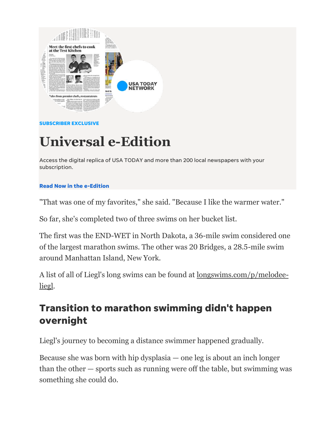

#### **SUBSCRIBER EXCLUSIVE**

## **Universal e-Edition**

Access the digital replica of USA TODAY and more than 200 local newspapers with your subscription.

#### **[Read Now in the e-Edition](https://user.jsonline.com/user/enewspaper?utm_medium=onsite&utm_source=retention&utm_campaign=magazine&utm_content=LateMay2022&utm_term=inline&itm_medium=onsite&itm_source=retention&itm_campaign=magazine&itm_content=LateMay2022&itm_term=inline)**

"That was one of my favorites," she said. "Because I like the warmer water."

So far, she's completed two of three swims on her bucket list.

The first was the END-WET in North Dakota, a 36-mile swim considered one of the largest marathon swims. The other was 20 Bridges, a 28.5-mile swim around Manhattan Island, New York.

A list of all of Liegl's long swims can be found at [longswims.com/p/melodee](https://longswims.com/p/melodee-liegl/)[liegl.](https://longswims.com/p/melodee-liegl/)

### **Transition to marathon swimming didn't happen overnight**

Liegl's journey to becoming a distance swimmer happened gradually.

Because she was born with hip dysplasia — one leg is about an inch longer than the other — sports such as running were off the table, but swimming was something she could do.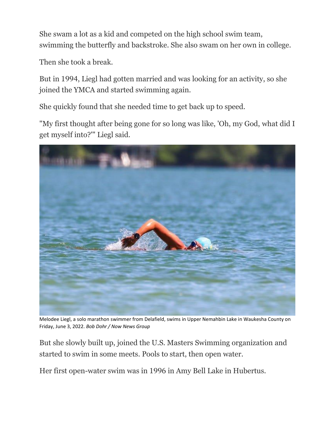She swam a lot as a kid and competed on the high school swim team, swimming the butterfly and backstroke. She also swam on her own in college.

Then she took a break.

But in 1994, Liegl had gotten married and was looking for an activity, so she joined the YMCA and started swimming again.

She quickly found that she needed time to get back up to speed.

"My first thought after being gone for so long was like, 'Oh, my God, what did I get myself into?'" Liegl said.



Melodee Liegl, a solo marathon swimmer from Delafield, swims in Upper Nemahbin Lake in Waukesha County on Friday, June 3, 2022. *Bob Dohr / Now News Group*

But she slowly built up, joined the U.S. Masters Swimming organization and started to swim in some meets. Pools to start, then open water.

Her first open-water swim was in 1996 in Amy Bell Lake in Hubertus.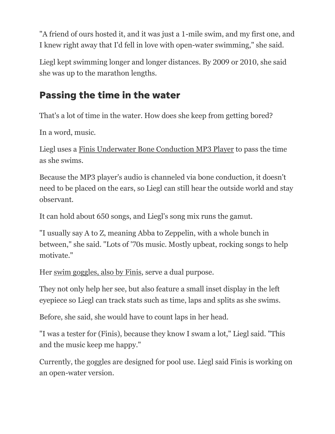"A friend of ours hosted it, and it was just a 1-mile swim, and my first one, and I knew right away that I'd fell in love with open-water swimming," she said.

Liegl kept swimming longer and longer distances. By 2009 or 2010, she said she was up to the marathon lengths.

## **Passing the time in the water**

That's a lot of time in the water. How does she keep from getting bored?

In a word, music.

Liegl uses a [Finis Underwater Bone Conduction MP3 Player](https://www.finisswim.com/Duo) to pass the time as she swims.

Because the MP3 player's audio is channeled via bone conduction, it doesn't need to be placed on the ears, so Liegl can still hear the outside world and stay observant.

It can hold about 650 songs, and Liegl's song mix runs the gamut.

"I usually say A to Z, meaning Abba to Zeppelin, with a whole bunch in between," she said. "Lots of '70s music. Mostly upbeat, rocking songs to help motivate."

Her swim [goggles, also by Finis,](https://www.finisswim.com/shop/electronics/smart-goggle) serve a dual purpose.

They not only help her see, but also feature a small inset display in the left eyepiece so Liegl can track stats such as time, laps and splits as she swims.

Before, she said, she would have to count laps in her head.

"I was a tester for (Finis), because they know I swam a lot," Liegl said. "This and the music keep me happy."

Currently, the goggles are designed for pool use. Liegl said Finis is working on an open-water version.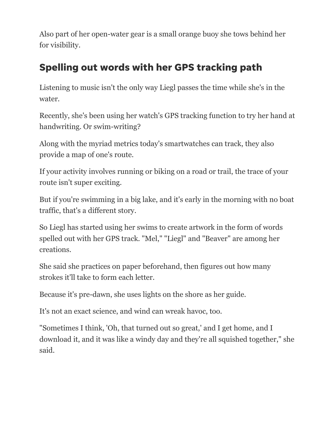Also part of her open-water gear is a small orange buoy she tows behind her for visibility.

## **Spelling out words with her GPS tracking path**

Listening to music isn't the only way Liegl passes the time while she's in the water.

Recently, she's been using her watch's GPS tracking function to try her hand at handwriting. Or swim-writing?

Along with the myriad metrics today's smartwatches can track, they also provide a map of one's route.

If your activity involves running or biking on a road or trail, the trace of your route isn't super exciting.

But if you're swimming in a big lake, and it's early in the morning with no boat traffic, that's a different story.

So Liegl has started using her swims to create artwork in the form of words spelled out with her GPS track. "Mel," "Liegl" and "Beaver" are among her creations.

She said she practices on paper beforehand, then figures out how many strokes it'll take to form each letter.

Because it's pre-dawn, she uses lights on the shore as her guide.

It's not an exact science, and wind can wreak havoc, too.

"Sometimes I think, 'Oh, that turned out so great,' and I get home, and I download it, and it was like a windy day and they're all squished together," she said.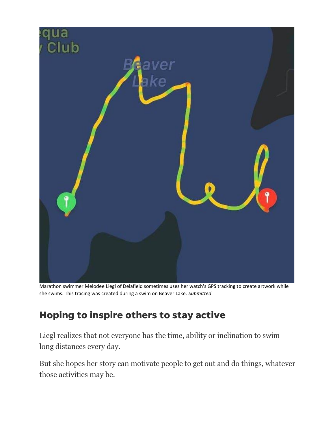

Marathon swimmer Melodee Liegl of Delafield sometimes uses her watch's GPS tracking to create artwork while she swims. This tracing was created during a swim on Beaver Lake. *Submitted*

## **Hoping to inspire others to stay active**

Liegl realizes that not everyone has the time, ability or inclination to swim long distances every day.

But she hopes her story can motivate people to get out and do things, whatever those activities may be.